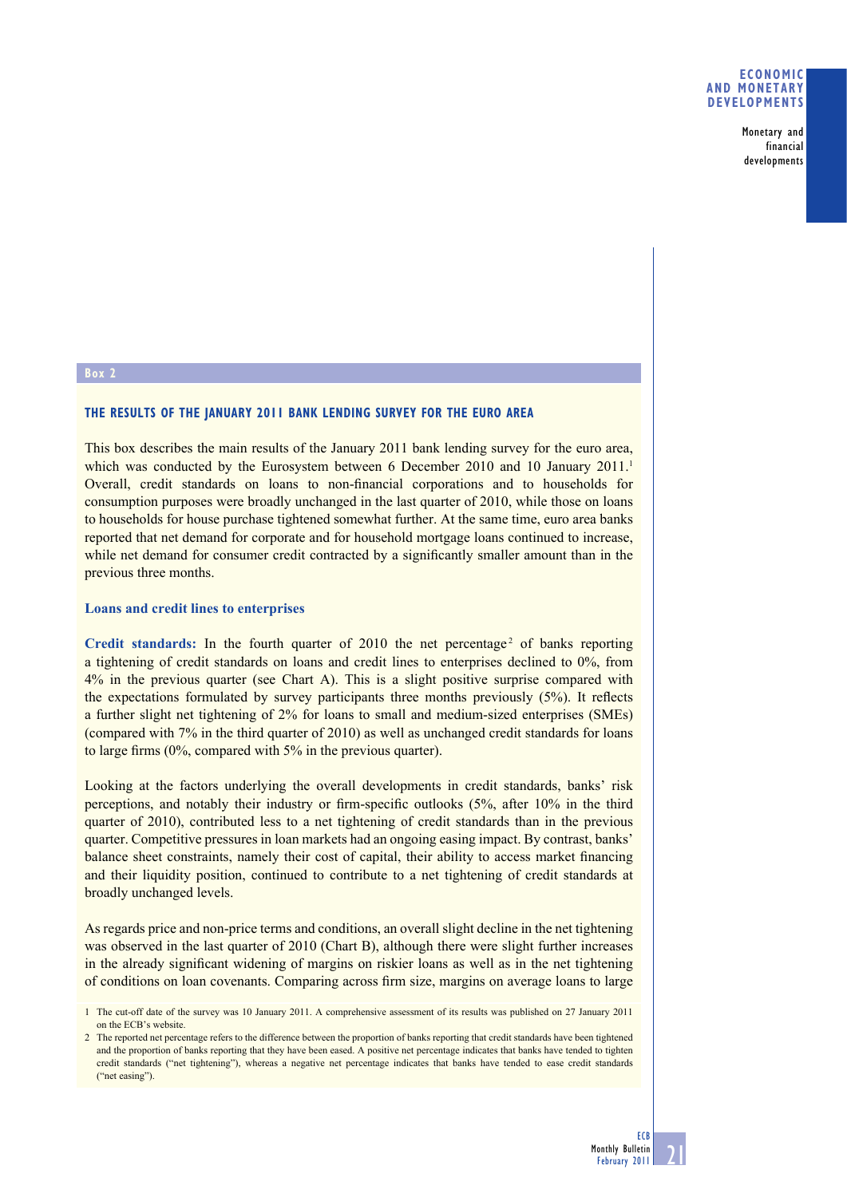Monetary and financial developments

### **Box 2**

# **THE RESULTS OF THE JANUARY 2011 BANK LENDING SURVEY FOR THE EURO AREA**

This box describes the main results of the January 2011 bank lending survey for the euro area, which was conducted by the Eurosystem between 6 December 2010 and 10 January 2011.<sup>1</sup> Overall, credit standards on loans to non-financial corporations and to households for consumption purposes were broadly unchanged in the last quarter of 2010, while those on loans to households for house purchase tightened somewhat further. At the same time, euro area banks reported that net demand for corporate and for household mortgage loans continued to increase, while net demand for consumer credit contracted by a significantly smaller amount than in the previous three months.

#### **Loans and credit lines to enterprises**

Credit standards: In the fourth quarter of  $2010$  the net percentage<sup>2</sup> of banks reporting a tightening of credit standards on loans and credit lines to enterprises declined to 0%, from 4% in the previous quarter (see Chart A). This is a slight positive surprise compared with the expectations formulated by survey participants three months previously  $(5\%)$ . It reflects a further slight net tightening of 2% for loans to small and medium-sized enterprises (SMEs) (compared with 7% in the third quarter of 2010) as well as unchanged credit standards for loans to large firms  $(0\%$ , compared with  $5\%$  in the previous quarter).

Looking at the factors underlying the overall developments in credit standards, banks' risk perceptions, and notably their industry or firm-specific outlooks  $(5\%$ , after  $10\%$  in the third quarter of 2010), contributed less to a net tightening of credit standards than in the previous quarter. Competitive pressures in loan markets had an ongoing easing impact. By contrast, banks' balance sheet constraints, namely their cost of capital, their ability to access market financing and their liquidity position, continued to contribute to a net tightening of credit standards at broadly unchanged levels.

As regards price and non-price terms and conditions, an overall slight decline in the net tightening was observed in the last quarter of 2010 (Chart B), although there were slight further increases in the already significant widening of margins on riskier loans as well as in the net tightening of conditions on loan covenants. Comparing across firm size, margins on average loans to large

<sup>1</sup> The cut-off date of the survey was 10 January 2011. A comprehensive assessment of its results was published on 27 January 2011 on the ECB's website.

<sup>2</sup> The reported net percentage refers to the difference between the proportion of banks reporting that credit standards have been tightened and the proportion of banks reporting that they have been eased. A positive net percentage indicates that banks have tended to tighten credit standards ("net tightening"), whereas a negative net percentage indicates that banks have tended to ease credit standards ("net easing").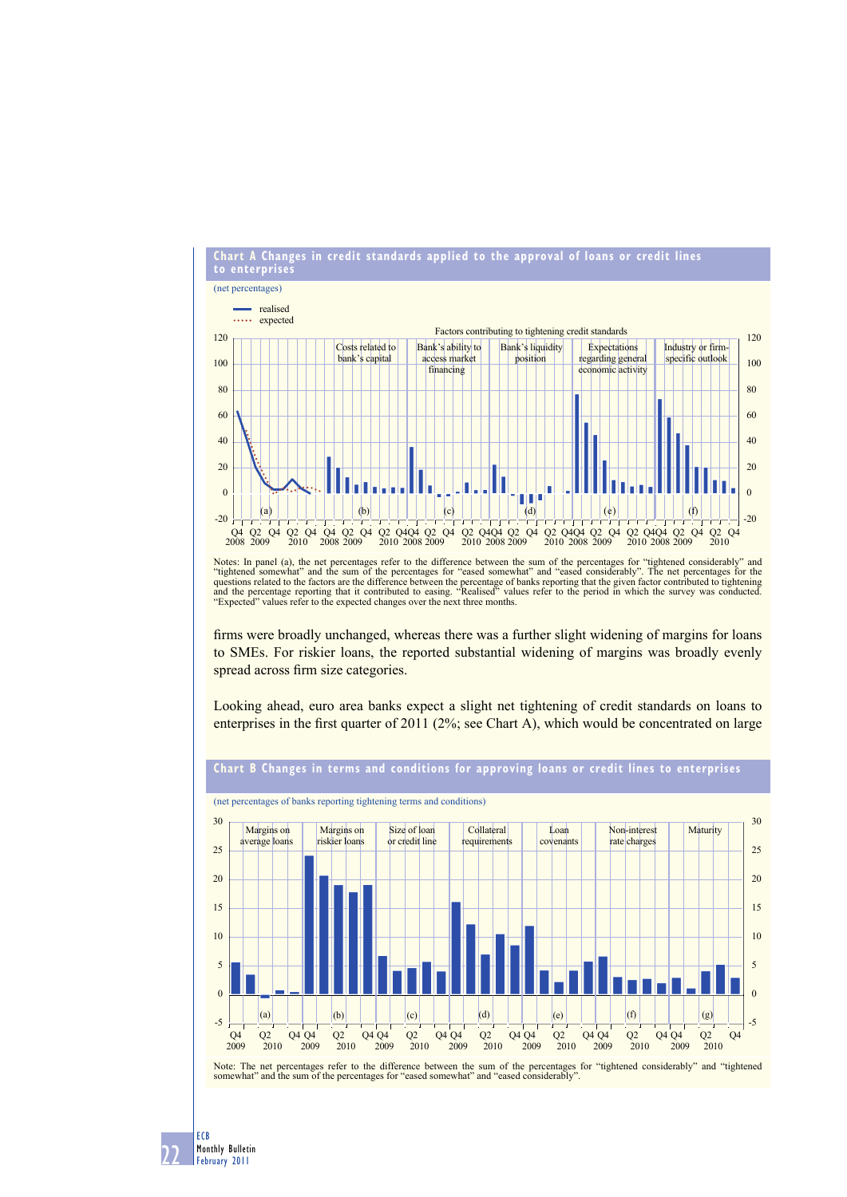

Notes: In panel (a), the net percentages refer to the difference between the sum of the percentages for "tightened considerably" and "tightened somewhat" and "eased somewhat" and "eased somewhat" and the sum of the percent "Expected" values refer to the expected changes over the next three months.

firms were broadly unchanged, whereas there was a further slight widening of margins for loans to SMEs. For riskier loans, the reported substantial widening of margins was broadly evenly spread across firm size categories.

Looking ahead, euro area banks expect a slight net tightening of credit standards on loans to enterprises in the first quarter of 2011 ( $2\%$ ; see Chart A), which would be concentrated on large



22 ECB Monthly Bulletin February 2011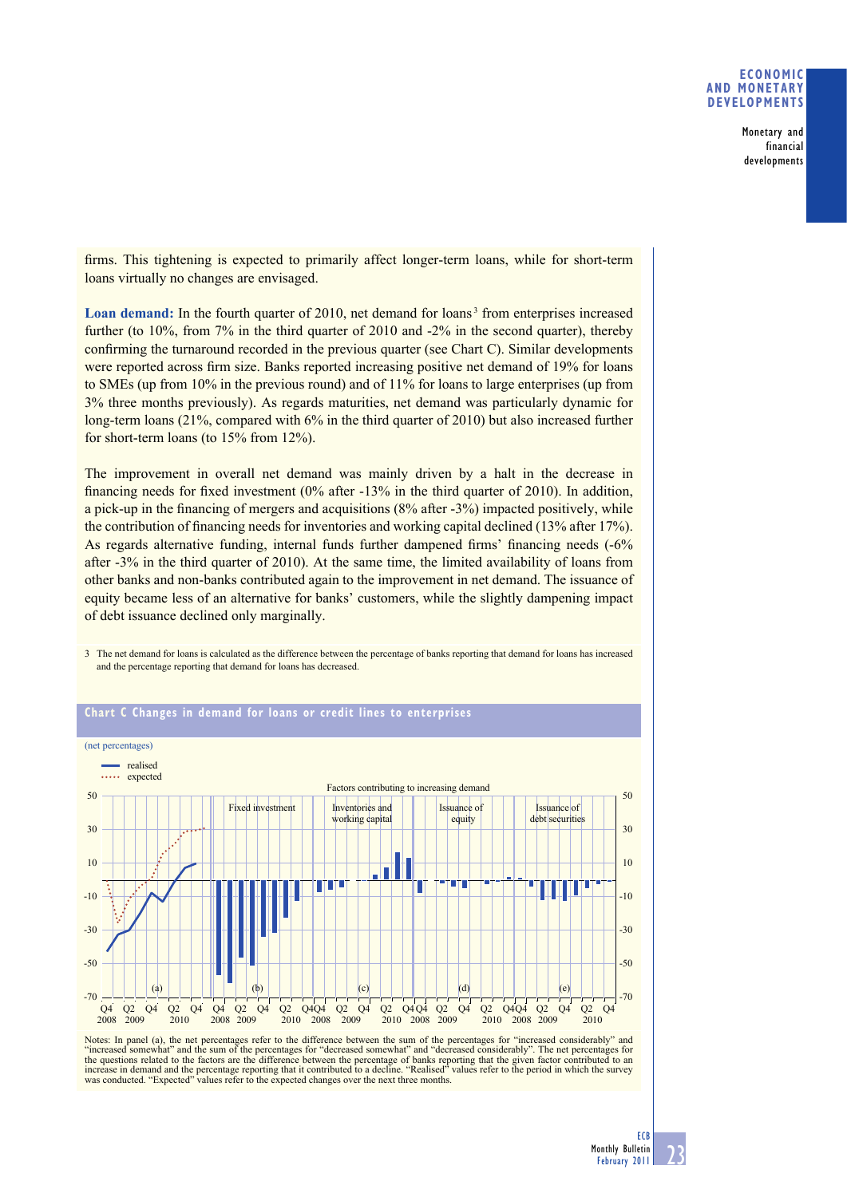## **ECONOMIC AND MONETARY DEVELOPMENTS**

Monetary and financial developments

firms. This tightening is expected to primarily affect longer-term loans, while for short-term loans virtually no changes are envisaged.

Loan demand: In the fourth quarter of 2010, net demand for loans<sup>3</sup> from enterprises increased further (to 10%, from 7% in the third quarter of 2010 and -2% in the second quarter), thereby confirming the turnaround recorded in the previous quarter (see Chart C). Similar developments were reported across firm size. Banks reported increasing positive net demand of 19% for loans to SMEs (up from 10% in the previous round) and of 11% for loans to large enterprises (up from 3% three months previously). As regards maturities, net demand was particularly dynamic for long-term loans (21%, compared with 6% in the third quarter of 2010) but also increased further for short-term loans (to 15% from 12%).

The improvement in overall net demand was mainly driven by a halt in the decrease in financing needs for fixed investment  $(0\%$  after  $-13\%$  in the third quarter of 2010). In addition, a pick-up in the financing of mergers and acquisitions  $(8\%$  after -3%) impacted positively, while the contribution of financing needs for inventories and working capital declined  $(13\% \text{ after } 17\%)$ . As regards alternative funding, internal funds further dampened firms' financing needs (-6%) after -3% in the third quarter of 2010). At the same time, the limited availability of loans from other banks and non-banks contributed again to the improvement in net demand. The issuance of equity became less of an alternative for banks' customers, while the slightly dampening impact of debt issuance declined only marginally.

3 The net demand for loans is calculated as the difference between the percentage of banks reporting that demand for loans has increased



# **Chart C Changes in demand for loans or credit lines to enterprises**

and the percentage reporting that demand for loans has decreased.

Notes: In panel (a), the net percentages refer to the difference between the sum of the percentages for "increased considerably" and "increased somewhat" and the sum of the percentages for "decreased somewhat" and "decreas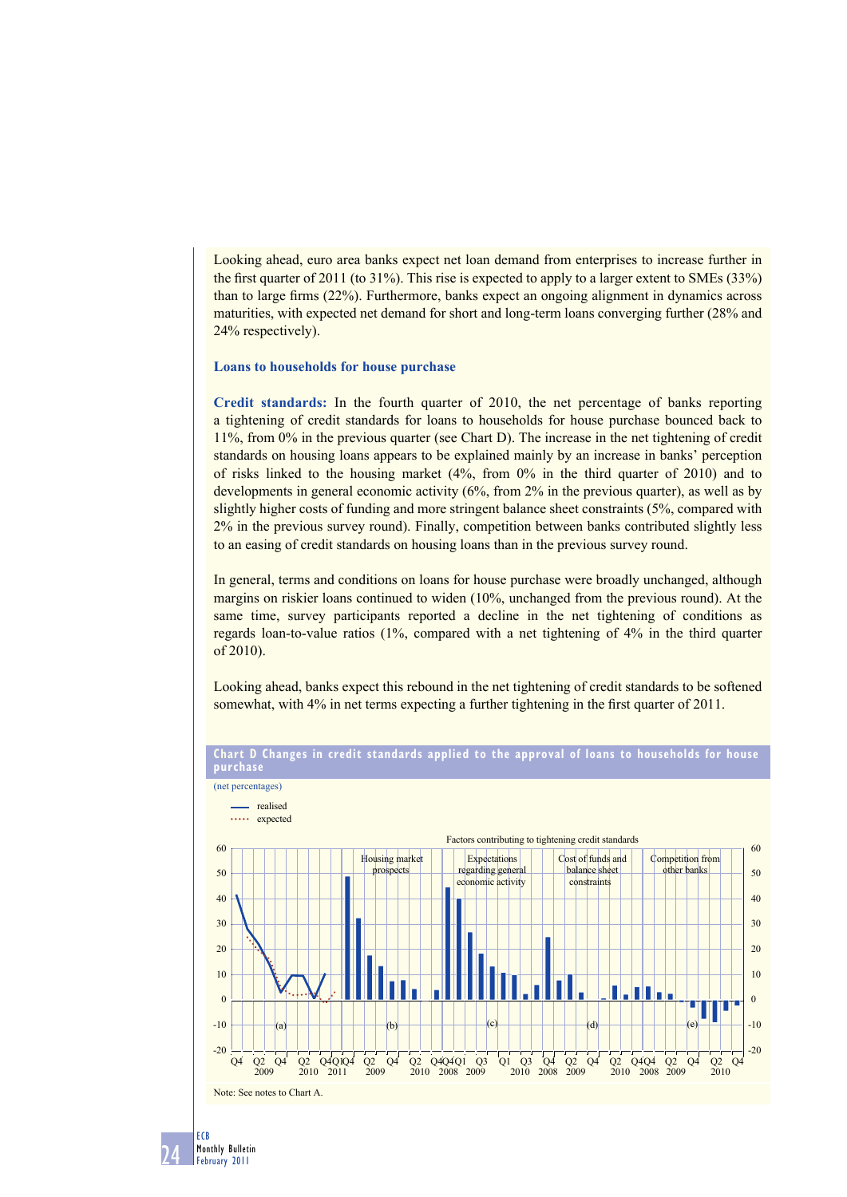Looking ahead, euro area banks expect net loan demand from enterprises to increase further in the first quarter of 2011 (to 31%). This rise is expected to apply to a larger extent to SMEs  $(33%)$ than to large firms  $(22%)$ . Furthermore, banks expect an ongoing alignment in dynamics across maturities, with expected net demand for short and long-term loans converging further (28% and 24% respectively).

### **Loans to households for house purchase**

**Credit standards:** In the fourth quarter of 2010, the net percentage of banks reporting a tightening of credit standards for loans to households for house purchase bounced back to 11%, from 0% in the previous quarter (see Chart D). The increase in the net tightening of credit standards on housing loans appears to be explained mainly by an increase in banks' perception of risks linked to the housing market (4%, from 0% in the third quarter of 2010) and to developments in general economic activity (6%, from 2% in the previous quarter), as well as by slightly higher costs of funding and more stringent balance sheet constraints (5%, compared with 2% in the previous survey round). Finally, competition between banks contributed slightly less to an easing of credit standards on housing loans than in the previous survey round.

In general, terms and conditions on loans for house purchase were broadly unchanged, although margins on riskier loans continued to widen (10%, unchanged from the previous round). At the same time, survey participants reported a decline in the net tightening of conditions as regards loan-to-value ratios (1%, compared with a net tightening of 4% in the third quarter of 2010).

Looking ahead, banks expect this rebound in the net tightening of credit standards to be softened somewhat, with 4% in net terms expecting a further tightening in the first quarter of 2011.



**Chart D Changes in credit standards applied to the approval of loans to households for house purchase**

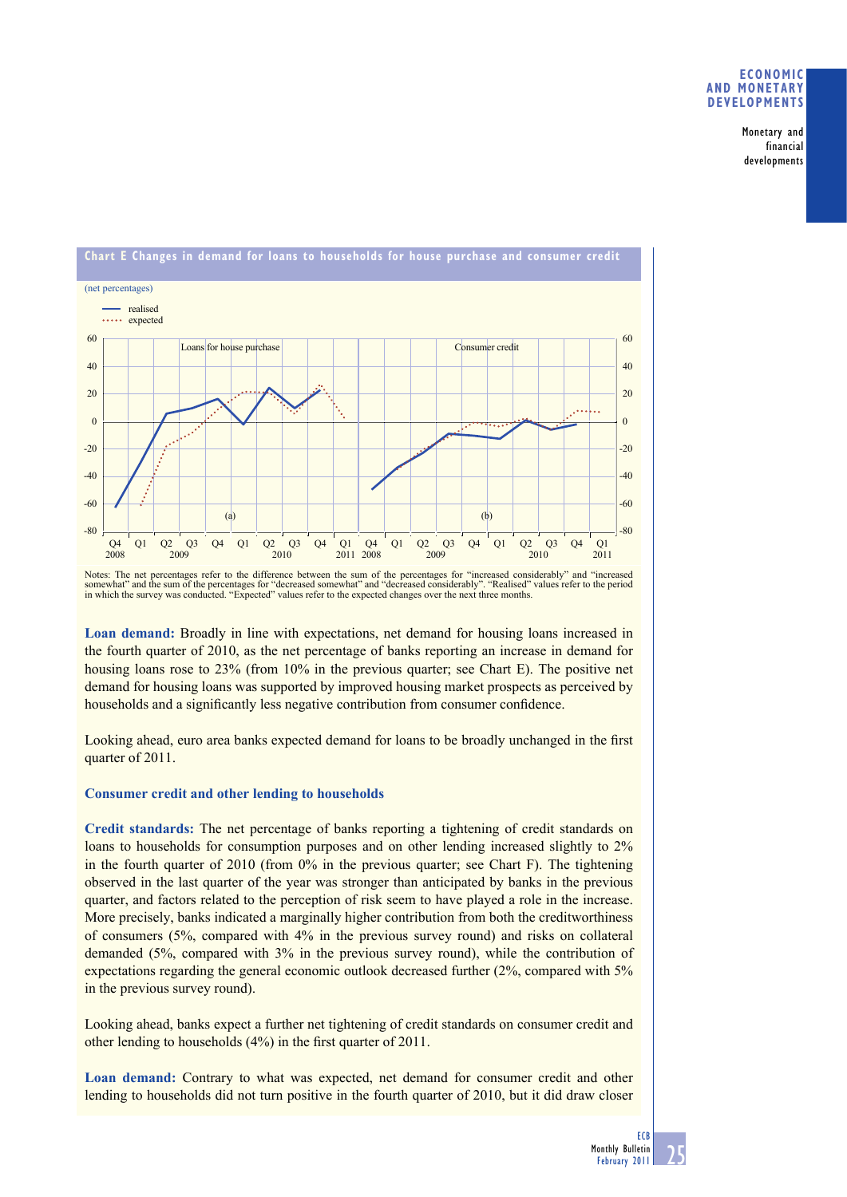## **ECONOMIC AND MONETARY DEVELOPMENTS**

Monetary and financial developments



Notes: The net percentages refer to the difference between the sum of the percentages for "increased considerably" and "increased somewhat" and the sum of the percentages for "decreased somewhat" and "decreased considerably". "Realised" values refer to the period in which the survey was conducted. "Expected" values refer to the expected changes over

**Loan demand:** Broadly in line with expectations, net demand for housing loans increased in the fourth quarter of 2010, as the net percentage of banks reporting an increase in demand for housing loans rose to 23% (from 10% in the previous quarter; see Chart E). The positive net demand for housing loans was supported by improved housing market prospects as perceived by households and a significantly less negative contribution from consumer confidence.

Looking ahead, euro area banks expected demand for loans to be broadly unchanged in the first quarter of 2011.

# **Consumer credit and other lending to households**

**Credit standards:** The net percentage of banks reporting a tightening of credit standards on loans to households for consumption purposes and on other lending increased slightly to 2% in the fourth quarter of 2010 (from 0% in the previous quarter; see Chart F). The tightening observed in the last quarter of the year was stronger than anticipated by banks in the previous quarter, and factors related to the perception of risk seem to have played a role in the increase. More precisely, banks indicated a marginally higher contribution from both the creditworthiness of consumers (5%, compared with 4% in the previous survey round) and risks on collateral demanded (5%, compared with 3% in the previous survey round), while the contribution of expectations regarding the general economic outlook decreased further (2%, compared with 5% in the previous survey round).

Looking ahead, banks expect a further net tightening of credit standards on consumer credit and other lending to households (4%) in the first quarter of 2011.

**Loan demand:** Contrary to what was expected, net demand for consumer credit and other lending to households did not turn positive in the fourth quarter of 2010, but it did draw closer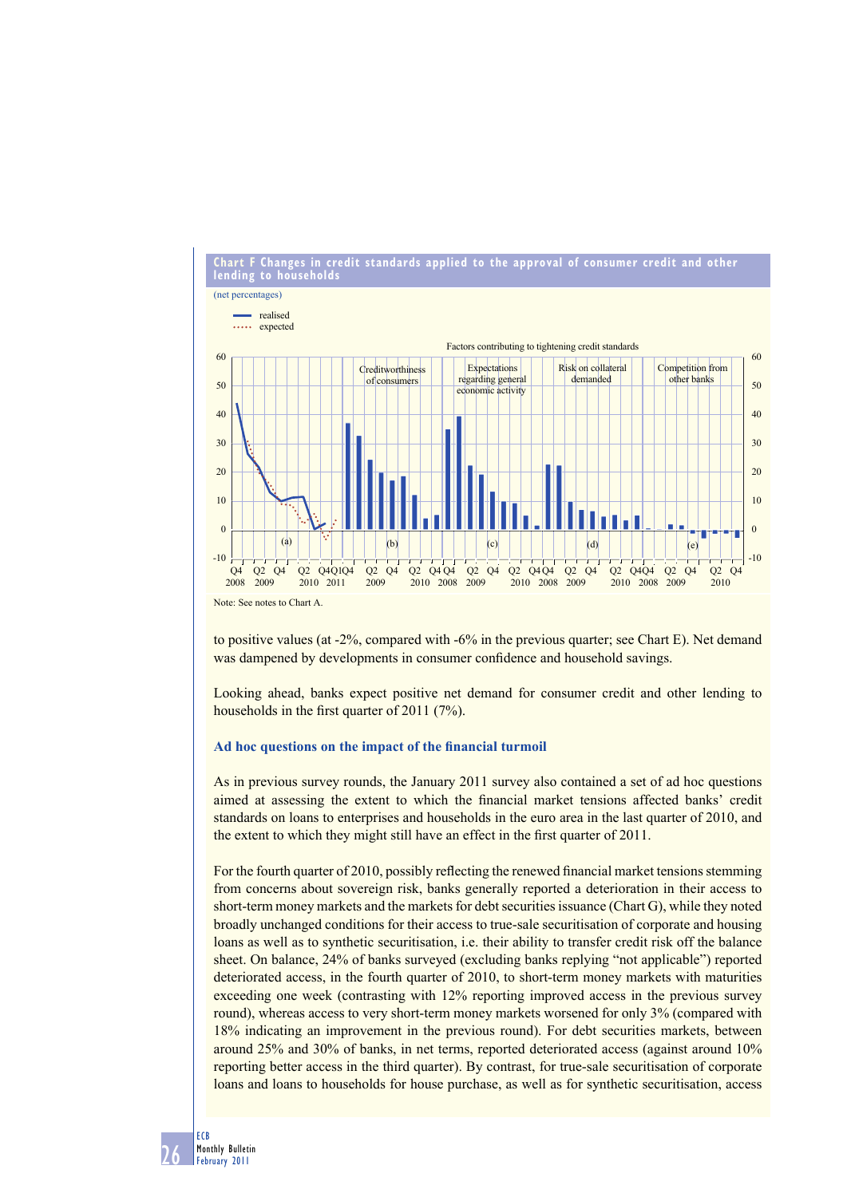

to positive values (at -2%, compared with -6% in the previous quarter; see Chart E). Net demand was dampened by developments in consumer confidence and household savings.

Looking ahead, banks expect positive net demand for consumer credit and other lending to households in the first quarter of  $2011$  (7%).

#### Ad hoc questions on the impact of the financial turmoil

As in previous survey rounds, the January 2011 survey also contained a set of ad hoc questions aimed at assessing the extent to which the financial market tensions affected banks' credit standards on loans to enterprises and households in the euro area in the last quarter of 2010, and the extent to which they might still have an effect in the first quarter of 2011.

For the fourth quarter of 2010, possibly reflecting the renewed financial market tensions stemming from concerns about sovereign risk, banks generally reported a deterioration in their access to short-term money markets and the markets for debt securities issuance (Chart G), while they noted broadly unchanged conditions for their access to true-sale securitisation of corporate and housing loans as well as to synthetic securitisation, i.e. their ability to transfer credit risk off the balance sheet. On balance, 24% of banks surveyed (excluding banks replying "not applicable") reported deteriorated access, in the fourth quarter of 2010, to short-term money markets with maturities exceeding one week (contrasting with 12% reporting improved access in the previous survey round), whereas access to very short-term money markets worsened for only 3% (compared with 18% indicating an improvement in the previous round). For debt securities markets, between around 25% and 30% of banks, in net terms, reported deteriorated access (against around 10% reporting better access in the third quarter). By contrast, for true-sale securitisation of corporate loans and loans to households for house purchase, as well as for synthetic securitisation, access

26 ECB Monthly Bulletin February 2011